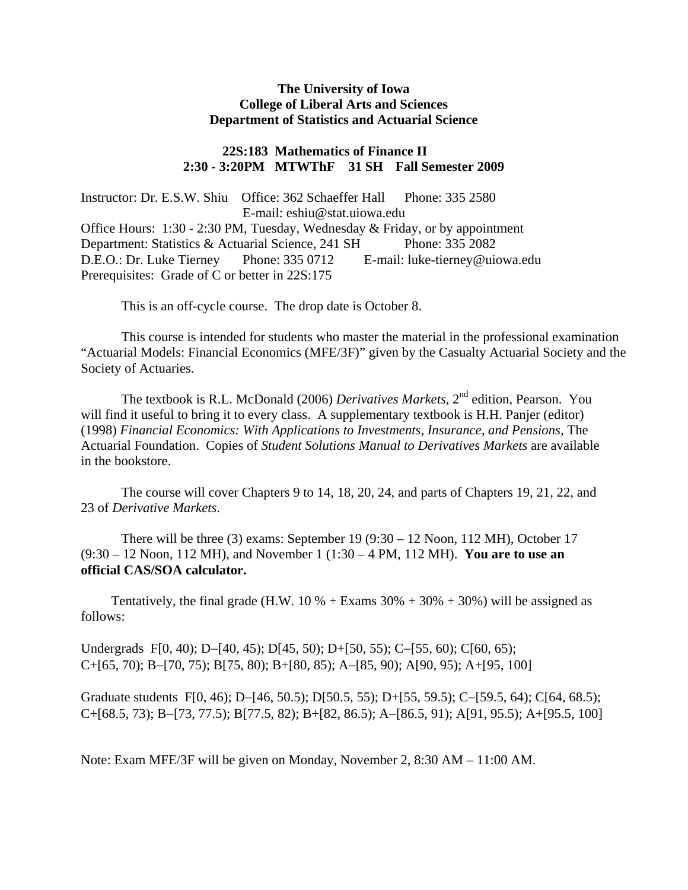# **The University of Iowa College of Liberal Arts and Sciences Department of Statistics and Actuarial Science**

# **22S:183 Mathematics of Finance II 2:30 - 3:20PM MTWThF 31 SH Fall Semester 2009**

Instructor: Dr. E.S.W. Shiu Office: 362 Schaeffer Hall Phone: 335 2580 E-mail: eshiu@stat.uiowa.edu Office Hours: 1:30 - 2:30 PM, Tuesday, Wednesday & Friday, or by appointment Department: Statistics & Actuarial Science, 241 SH Phone: 335 2082 D.E.O.: Dr. Luke Tierney Phone: 335 0712 E-mail: luke-tierney@uiowa.edu Prerequisites: Grade of C or better in 22S:175

This is an off-cycle course. The drop date is October 8.

This course is intended for students who master the material in the professional examination "Actuarial Models: Financial Economics (MFE/3F)" given by the Casualty Actuarial Society and the Society of Actuaries.

The textbook is R.L. McDonald (2006) *Derivatives Markets*, 2<sup>nd</sup> edition, Pearson. You will find it useful to bring it to every class. A supplementary textbook is H.H. Panjer (editor) (1998) *Financial Economics: With Applications to Investments, Insurance, and Pensions,* The Actuarial Foundation. Copies of *Student Solutions Manual to Derivatives Markets* are available in the bookstore.

The course will cover Chapters 9 to 14, 18, 20, 24, and parts of Chapters 19, 21, 22, and 23 of *Derivative Markets*.

There will be three  $(3)$  exams: September 19  $(9:30 - 12 \text{ Noon}, 112 \text{ MH})$ , October 17 (9:30 – 12 Noon, 112 MH), and November 1 (1:30 – 4 PM, 112 MH). **You are to use an official CAS/SOA calculator.** 

Tentatively, the final grade (H.W. 10 % + Exams  $30\% + 30\% + 30\%$ ) will be assigned as follows:

Undergrads F[0, 40); D−[40, 45); D[45, 50); D+[50, 55); C−[55, 60); C[60, 65); C+[65, 70); B−[70, 75); B[75, 80); B+[80, 85); A−[85, 90); A[90, 95); A+[95, 100]

Graduate students F[0, 46); D−[46, 50.5); D[50.5, 55); D+[55, 59.5); C−[59.5, 64); C[64, 68.5); C+[68.5, 73); B−[73, 77.5); B[77.5, 82); B+[82, 86.5); A−[86.5, 91); A[91, 95.5); A+[95.5, 100]

Note: Exam MFE/3F will be given on Monday, November 2, 8:30 AM – 11:00 AM.